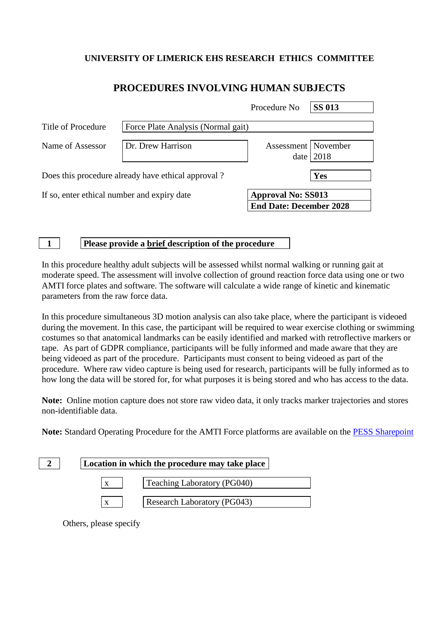## **UNIVERSITY OF LIMERICK EHS RESEARCH ETHICS COMMITTEE**

# **PROCEDURES INVOLVING HUMAN SUBJECTS**

|                                             |                                                    | Procedure No                                                | <b>SS 013</b> |
|---------------------------------------------|----------------------------------------------------|-------------------------------------------------------------|---------------|
| Title of Procedure                          | Force Plate Analysis (Normal gait)                 |                                                             |               |
| Name of Assessor                            | Dr. Drew Harrison                                  | Assessment   November                                       | date $ 2018$  |
|                                             | Does this procedure already have ethical approval? |                                                             | Yes           |
| If so, enter ethical number and expiry date |                                                    | <b>Approval No: SS013</b><br><b>End Date: December 2028</b> |               |

**1 Please provide a brief description of the procedure**

In this procedure healthy adult subjects will be assessed whilst normal walking or running gait at moderate speed. The assessment will involve collection of ground reaction force data using one or two AMTI force plates and software. The software will calculate a wide range of kinetic and kinematic parameters from the raw force data.

In this procedure simultaneous 3D motion analysis can also take place, where the participant is videoed during the movement. In this case, the participant will be required to wear exercise clothing or swimming costumes so that anatomical landmarks can be easily identified and marked with retroflective markers or tape. As part of GDPR compliance, participants will be fully informed and made aware that they are being videoed as part of the procedure. Participants must consent to being videoed as part of the procedure. Where raw video capture is being used for research, participants will be fully informed as to how long the data will be stored for, for what purposes it is being stored and who has access to the data.

**Note:** Online motion capture does not store raw video data, it only tracks marker trajectories and stores non-identifiable data.

**Note:** Standard Operating Procedure for the AMTI Force platforms are available on the [PESS Sharepoint](https://sharepoint.ul.ie/SiteDirectory/PESS/Health%20and%20Safety1/Standard%20Operating%20Procedures%20(SOPs)/Biomechanics%20Lab%20SOPs/AMTI%20force%20platforms_SOP%20v5.pdf)

| Location in which the procedure may take place |  |
|------------------------------------------------|--|
| Teaching Laboratory (PG040)<br>X               |  |
| Research Laboratory (PG043)                    |  |
|                                                |  |

Others, please specify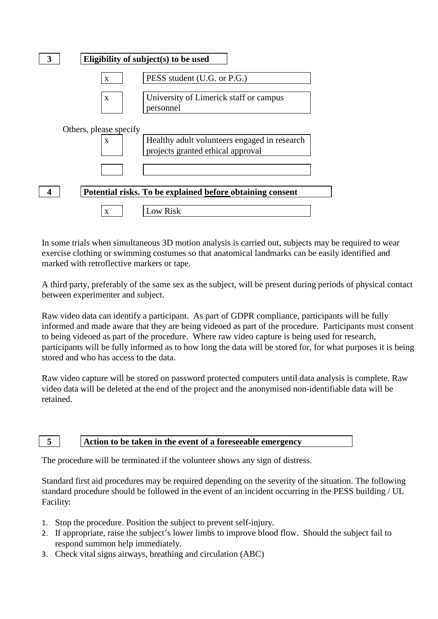|                                                           |                                        | Eligibility of subject(s) to be used                                              |  |  |
|-----------------------------------------------------------|----------------------------------------|-----------------------------------------------------------------------------------|--|--|
|                                                           | $\mathbf{X}$                           | PESS student (U.G. or P.G.)                                                       |  |  |
|                                                           | $\mathbf{X}$                           | University of Limerick staff or campus<br>personnel                               |  |  |
|                                                           | Others, please specify<br>$\mathbf{x}$ | Healthy adult volunteers engaged in research<br>projects granted ethical approval |  |  |
|                                                           |                                        |                                                                                   |  |  |
| Potential risks. To be explained before obtaining consent |                                        |                                                                                   |  |  |
|                                                           | $\mathbf{x}$                           | Low Risk                                                                          |  |  |

In some trials when simultaneous 3D motion analysis is carried out, subjects may be required to wear exercise clothing or swimming costumes so that anatomical landmarks can be easily identified and marked with retroflective markers or tape.

A third party, preferably of the same sex as the subject, will be present during periods of physical contact between experimenter and subject.

Raw video data can identify a participant. As part of GDPR compliance, participants will be fully informed and made aware that they are being videoed as part of the procedure. Participants must consent to being videoed as part of the procedure. Where raw video capture is being used for research, participants will be fully informed as to how long the data will be stored for, for what purposes it is being stored and who has access to the data.

Raw video capture will be stored on password protected computers until data analysis is complete. Raw video data will be deleted at the end of the project and the anonymised non-identifiable data will be retained.

### **5 Action to be taken in the event of a foreseeable emergency**

The procedure will be terminated if the volunteer shows any sign of distress.

Standard first aid procedures may be required depending on the severity of the situation. The following standard procedure should be followed in the event of an incident occurring in the PESS building / UL Facility:

- 1. Stop the procedure. Position the subject to prevent self-injury.
- 2. If appropriate, raise the subject's lower limbs to improve blood flow. Should the subject fail to respond summon help immediately.
- 3. Check vital signs airways, breathing and circulation (ABC)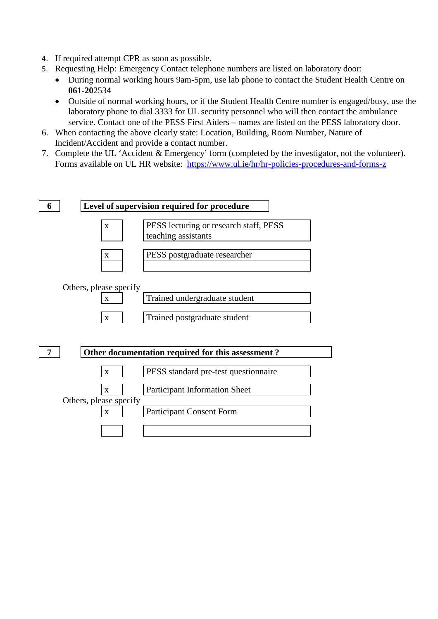- 4. If required attempt CPR as soon as possible.
- 5. Requesting Help: Emergency Contact telephone numbers are listed on laboratory door:
	- During normal working hours 9am-5pm, use lab phone to contact the Student Health Centre on **061-20**2534
	- Outside of normal working hours, or if the Student Health Centre number is engaged/busy, use the laboratory phone to dial 3333 for UL security personnel who will then contact the ambulance service. Contact one of the PESS First Aiders – names are listed on the PESS laboratory door.
- 6. When contacting the above clearly state: Location, Building, Room Number, Nature of Incident/Accident and provide a contact number.
- 7. Complete the UL 'Accident & Emergency' form (completed by the investigator, not the volunteer). Forms available on UL HR website: <https://www.ul.ie/hr/hr-policies-procedures-and-forms-z>